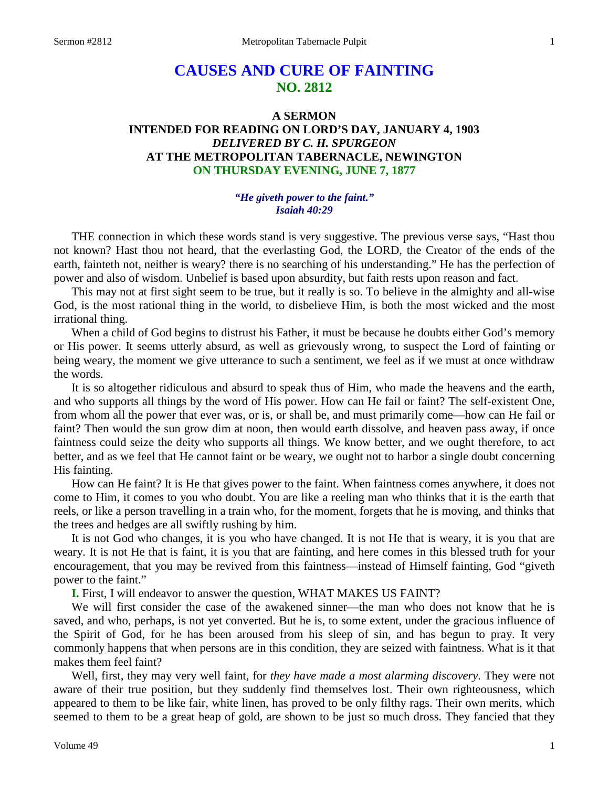# **CAUSES AND CURE OF FAINTING NO. 2812**

# **A SERMON INTENDED FOR READING ON LORD'S DAY, JANUARY 4, 1903** *DELIVERED BY C. H. SPURGEON* **AT THE METROPOLITAN TABERNACLE, NEWINGTON ON THURSDAY EVENING, JUNE 7, 1877**

## *"He giveth power to the faint." Isaiah 40:29*

THE connection in which these words stand is very suggestive. The previous verse says, "Hast thou not known? Hast thou not heard, that the everlasting God, the LORD, the Creator of the ends of the earth, fainteth not, neither is weary? there is no searching of his understanding." He has the perfection of power and also of wisdom. Unbelief is based upon absurdity, but faith rests upon reason and fact.

This may not at first sight seem to be true, but it really is so. To believe in the almighty and all-wise God, is the most rational thing in the world, to disbelieve Him, is both the most wicked and the most irrational thing.

When a child of God begins to distrust his Father, it must be because he doubts either God's memory or His power. It seems utterly absurd, as well as grievously wrong, to suspect the Lord of fainting or being weary, the moment we give utterance to such a sentiment, we feel as if we must at once withdraw the words.

It is so altogether ridiculous and absurd to speak thus of Him, who made the heavens and the earth, and who supports all things by the word of His power. How can He fail or faint? The self-existent One, from whom all the power that ever was, or is, or shall be, and must primarily come—how can He fail or faint? Then would the sun grow dim at noon, then would earth dissolve, and heaven pass away, if once faintness could seize the deity who supports all things. We know better, and we ought therefore, to act better, and as we feel that He cannot faint or be weary, we ought not to harbor a single doubt concerning His fainting.

How can He faint? It is He that gives power to the faint. When faintness comes anywhere, it does not come to Him, it comes to you who doubt. You are like a reeling man who thinks that it is the earth that reels, or like a person travelling in a train who, for the moment, forgets that he is moving, and thinks that the trees and hedges are all swiftly rushing by him.

It is not God who changes, it is you who have changed. It is not He that is weary, it is you that are weary. It is not He that is faint, it is you that are fainting, and here comes in this blessed truth for your encouragement, that you may be revived from this faintness—instead of Himself fainting, God "giveth power to the faint."

**I.** First, I will endeavor to answer the question, WHAT MAKES US FAINT?

We will first consider the case of the awakened sinner—the man who does not know that he is saved, and who, perhaps, is not yet converted. But he is, to some extent, under the gracious influence of the Spirit of God, for he has been aroused from his sleep of sin, and has begun to pray. It very commonly happens that when persons are in this condition, they are seized with faintness. What is it that makes them feel faint?

Well, first, they may very well faint, for *they have made a most alarming discovery*. They were not aware of their true position, but they suddenly find themselves lost. Their own righteousness, which appeared to them to be like fair, white linen, has proved to be only filthy rags. Their own merits, which seemed to them to be a great heap of gold, are shown to be just so much dross. They fancied that they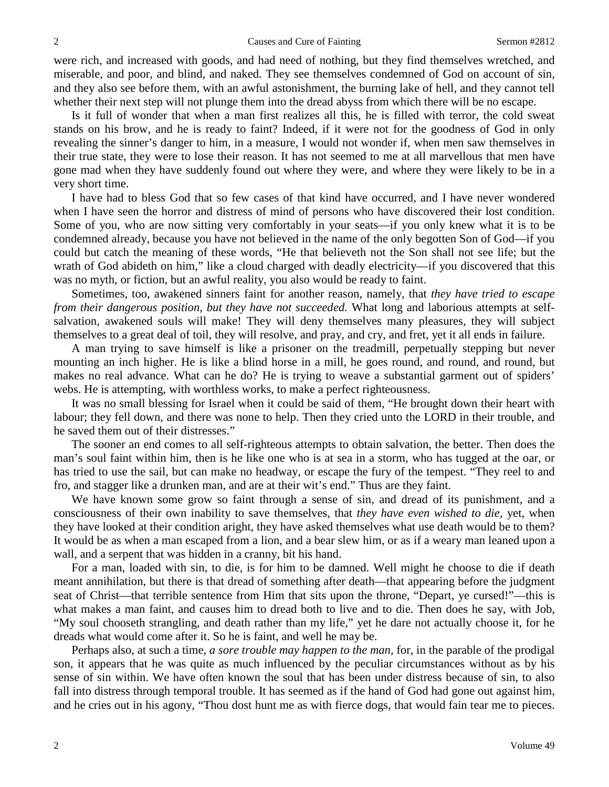were rich, and increased with goods, and had need of nothing, but they find themselves wretched, and miserable, and poor, and blind, and naked. They see themselves condemned of God on account of sin, and they also see before them, with an awful astonishment, the burning lake of hell, and they cannot tell whether their next step will not plunge them into the dread abyss from which there will be no escape.

Is it full of wonder that when a man first realizes all this, he is filled with terror, the cold sweat stands on his brow, and he is ready to faint? Indeed, if it were not for the goodness of God in only revealing the sinner's danger to him, in a measure, I would not wonder if, when men saw themselves in their true state, they were to lose their reason. It has not seemed to me at all marvellous that men have gone mad when they have suddenly found out where they were, and where they were likely to be in a very short time.

I have had to bless God that so few cases of that kind have occurred, and I have never wondered when I have seen the horror and distress of mind of persons who have discovered their lost condition. Some of you, who are now sitting very comfortably in your seats—if you only knew what it is to be condemned already, because you have not believed in the name of the only begotten Son of God—if you could but catch the meaning of these words, "He that believeth not the Son shall not see life; but the wrath of God abideth on him," like a cloud charged with deadly electricity—if you discovered that this was no myth, or fiction, but an awful reality, you also would be ready to faint.

Sometimes, too, awakened sinners faint for another reason, namely, that *they have tried to escape from their dangerous position, but they have not succeeded.* What long and laborious attempts at selfsalvation, awakened souls will make! They will deny themselves many pleasures, they will subject themselves to a great deal of toil, they will resolve, and pray, and cry, and fret, yet it all ends in failure.

A man trying to save himself is like a prisoner on the treadmill, perpetually stepping but never mounting an inch higher. He is like a blind horse in a mill, he goes round, and round, and round, but makes no real advance. What can he do? He is trying to weave a substantial garment out of spiders' webs. He is attempting, with worthless works, to make a perfect righteousness.

It was no small blessing for Israel when it could be said of them, "He brought down their heart with labour; they fell down, and there was none to help. Then they cried unto the LORD in their trouble, and he saved them out of their distresses."

The sooner an end comes to all self-righteous attempts to obtain salvation, the better. Then does the man's soul faint within him, then is he like one who is at sea in a storm, who has tugged at the oar, or has tried to use the sail, but can make no headway, or escape the fury of the tempest. "They reel to and fro, and stagger like a drunken man, and are at their wit's end." Thus are they faint.

We have known some grow so faint through a sense of sin, and dread of its punishment, and a consciousness of their own inability to save themselves, that *they have even wished to die,* yet, when they have looked at their condition aright, they have asked themselves what use death would be to them? It would be as when a man escaped from a lion, and a bear slew him, or as if a weary man leaned upon a wall, and a serpent that was hidden in a cranny, bit his hand.

For a man, loaded with sin, to die, is for him to be damned. Well might he choose to die if death meant annihilation, but there is that dread of something after death—that appearing before the judgment seat of Christ—that terrible sentence from Him that sits upon the throne, "Depart, ye cursed!"—this is what makes a man faint, and causes him to dread both to live and to die. Then does he say, with Job, "My soul chooseth strangling, and death rather than my life," yet he dare not actually choose it, for he dreads what would come after it. So he is faint, and well he may be.

Perhaps also, at such a time, *a sore trouble may happen to the man,* for, in the parable of the prodigal son, it appears that he was quite as much influenced by the peculiar circumstances without as by his sense of sin within. We have often known the soul that has been under distress because of sin, to also fall into distress through temporal trouble. It has seemed as if the hand of God had gone out against him, and he cries out in his agony, "Thou dost hunt me as with fierce dogs, that would fain tear me to pieces.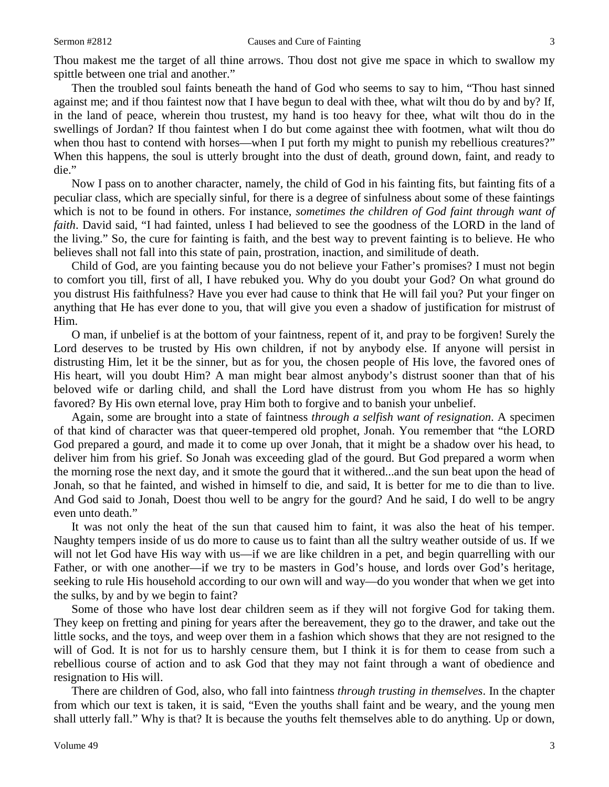Thou makest me the target of all thine arrows. Thou dost not give me space in which to swallow my spittle between one trial and another."

Then the troubled soul faints beneath the hand of God who seems to say to him, "Thou hast sinned against me; and if thou faintest now that I have begun to deal with thee, what wilt thou do by and by? If, in the land of peace, wherein thou trustest, my hand is too heavy for thee, what wilt thou do in the swellings of Jordan? If thou faintest when I do but come against thee with footmen, what wilt thou do when thou hast to contend with horses—when I put forth my might to punish my rebellious creatures?" When this happens, the soul is utterly brought into the dust of death, ground down, faint, and ready to die."

Now I pass on to another character, namely, the child of God in his fainting fits, but fainting fits of a peculiar class, which are specially sinful, for there is a degree of sinfulness about some of these faintings which is not to be found in others. For instance, *sometimes the children of God faint through want of faith*. David said, "I had fainted, unless I had believed to see the goodness of the LORD in the land of the living." So, the cure for fainting is faith, and the best way to prevent fainting is to believe. He who believes shall not fall into this state of pain, prostration, inaction, and similitude of death.

Child of God, are you fainting because you do not believe your Father's promises? I must not begin to comfort you till, first of all, I have rebuked you. Why do you doubt your God? On what ground do you distrust His faithfulness? Have you ever had cause to think that He will fail you? Put your finger on anything that He has ever done to you, that will give you even a shadow of justification for mistrust of Him.

O man, if unbelief is at the bottom of your faintness, repent of it, and pray to be forgiven! Surely the Lord deserves to be trusted by His own children, if not by anybody else. If anyone will persist in distrusting Him, let it be the sinner, but as for you, the chosen people of His love, the favored ones of His heart, will you doubt Him? A man might bear almost anybody's distrust sooner than that of his beloved wife or darling child, and shall the Lord have distrust from you whom He has so highly favored? By His own eternal love, pray Him both to forgive and to banish your unbelief.

Again, some are brought into a state of faintness *through a selfish want of resignation*. A specimen of that kind of character was that queer-tempered old prophet, Jonah. You remember that "the LORD God prepared a gourd, and made it to come up over Jonah, that it might be a shadow over his head, to deliver him from his grief. So Jonah was exceeding glad of the gourd. But God prepared a worm when the morning rose the next day, and it smote the gourd that it withered...and the sun beat upon the head of Jonah, so that he fainted, and wished in himself to die, and said, It is better for me to die than to live. And God said to Jonah, Doest thou well to be angry for the gourd? And he said, I do well to be angry even unto death."

It was not only the heat of the sun that caused him to faint, it was also the heat of his temper. Naughty tempers inside of us do more to cause us to faint than all the sultry weather outside of us. If we will not let God have His way with us—if we are like children in a pet, and begin quarrelling with our Father, or with one another—if we try to be masters in God's house, and lords over God's heritage, seeking to rule His household according to our own will and way—do you wonder that when we get into the sulks, by and by we begin to faint?

Some of those who have lost dear children seem as if they will not forgive God for taking them. They keep on fretting and pining for years after the bereavement, they go to the drawer, and take out the little socks, and the toys, and weep over them in a fashion which shows that they are not resigned to the will of God. It is not for us to harshly censure them, but I think it is for them to cease from such a rebellious course of action and to ask God that they may not faint through a want of obedience and resignation to His will.

There are children of God, also, who fall into faintness *through trusting in themselves*. In the chapter from which our text is taken, it is said, "Even the youths shall faint and be weary, and the young men shall utterly fall." Why is that? It is because the youths felt themselves able to do anything. Up or down,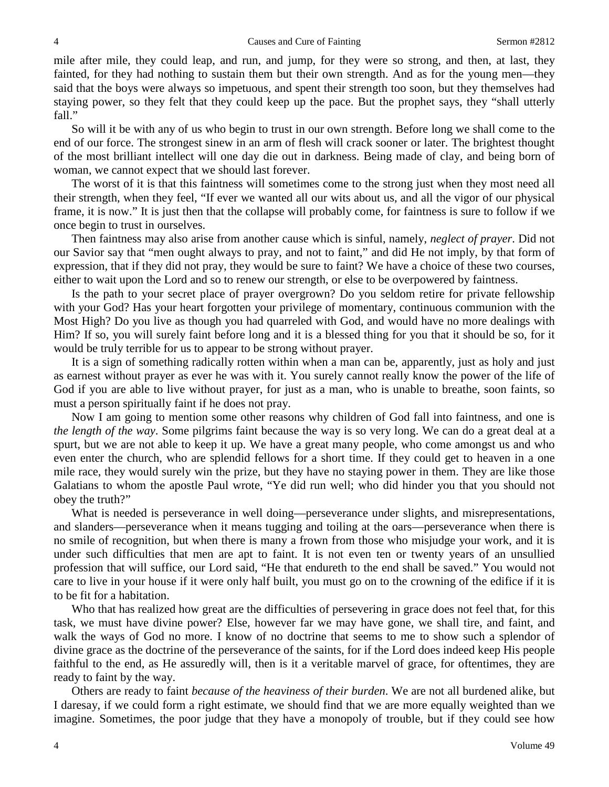mile after mile, they could leap, and run, and jump, for they were so strong, and then, at last, they fainted, for they had nothing to sustain them but their own strength. And as for the young men—they said that the boys were always so impetuous, and spent their strength too soon, but they themselves had staying power, so they felt that they could keep up the pace. But the prophet says, they "shall utterly fall."

So will it be with any of us who begin to trust in our own strength. Before long we shall come to the end of our force. The strongest sinew in an arm of flesh will crack sooner or later. The brightest thought of the most brilliant intellect will one day die out in darkness. Being made of clay, and being born of woman, we cannot expect that we should last forever.

The worst of it is that this faintness will sometimes come to the strong just when they most need all their strength, when they feel, "If ever we wanted all our wits about us, and all the vigor of our physical frame, it is now." It is just then that the collapse will probably come, for faintness is sure to follow if we once begin to trust in ourselves.

Then faintness may also arise from another cause which is sinful, namely, *neglect of prayer*. Did not our Savior say that "men ought always to pray, and not to faint," and did He not imply, by that form of expression, that if they did not pray, they would be sure to faint? We have a choice of these two courses, either to wait upon the Lord and so to renew our strength, or else to be overpowered by faintness.

Is the path to your secret place of prayer overgrown? Do you seldom retire for private fellowship with your God? Has your heart forgotten your privilege of momentary, continuous communion with the Most High? Do you live as though you had quarreled with God, and would have no more dealings with Him? If so, you will surely faint before long and it is a blessed thing for you that it should be so, for it would be truly terrible for us to appear to be strong without prayer.

It is a sign of something radically rotten within when a man can be, apparently, just as holy and just as earnest without prayer as ever he was with it. You surely cannot really know the power of the life of God if you are able to live without prayer, for just as a man, who is unable to breathe, soon faints, so must a person spiritually faint if he does not pray.

Now I am going to mention some other reasons why children of God fall into faintness, and one is *the length of the way*. Some pilgrims faint because the way is so very long. We can do a great deal at a spurt, but we are not able to keep it up. We have a great many people, who come amongst us and who even enter the church, who are splendid fellows for a short time. If they could get to heaven in a one mile race, they would surely win the prize, but they have no staying power in them. They are like those Galatians to whom the apostle Paul wrote, "Ye did run well; who did hinder you that you should not obey the truth?"

What is needed is perseverance in well doing—perseverance under slights, and misrepresentations, and slanders—perseverance when it means tugging and toiling at the oars—perseverance when there is no smile of recognition, but when there is many a frown from those who misjudge your work, and it is under such difficulties that men are apt to faint. It is not even ten or twenty years of an unsullied profession that will suffice, our Lord said, "He that endureth to the end shall be saved." You would not care to live in your house if it were only half built, you must go on to the crowning of the edifice if it is to be fit for a habitation.

Who that has realized how great are the difficulties of persevering in grace does not feel that, for this task, we must have divine power? Else, however far we may have gone, we shall tire, and faint, and walk the ways of God no more. I know of no doctrine that seems to me to show such a splendor of divine grace as the doctrine of the perseverance of the saints, for if the Lord does indeed keep His people faithful to the end, as He assuredly will, then is it a veritable marvel of grace, for oftentimes, they are ready to faint by the way.

Others are ready to faint *because of the heaviness of their burden*. We are not all burdened alike, but I daresay, if we could form a right estimate, we should find that we are more equally weighted than we imagine. Sometimes, the poor judge that they have a monopoly of trouble, but if they could see how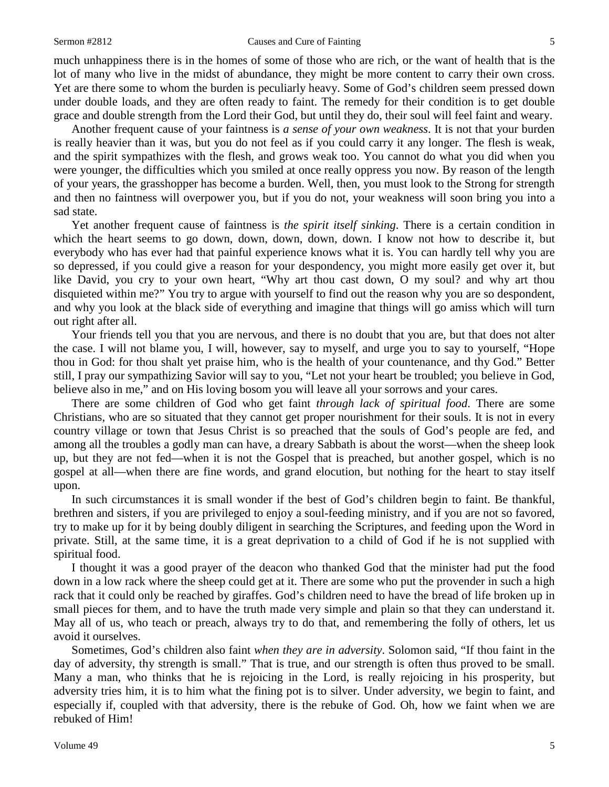much unhappiness there is in the homes of some of those who are rich, or the want of health that is the lot of many who live in the midst of abundance, they might be more content to carry their own cross. Yet are there some to whom the burden is peculiarly heavy. Some of God's children seem pressed down under double loads, and they are often ready to faint. The remedy for their condition is to get double grace and double strength from the Lord their God, but until they do, their soul will feel faint and weary.

Another frequent cause of your faintness is *a sense of your own weakness*. It is not that your burden is really heavier than it was, but you do not feel as if you could carry it any longer. The flesh is weak, and the spirit sympathizes with the flesh, and grows weak too. You cannot do what you did when you were younger, the difficulties which you smiled at once really oppress you now. By reason of the length of your years, the grasshopper has become a burden. Well, then, you must look to the Strong for strength and then no faintness will overpower you, but if you do not, your weakness will soon bring you into a sad state.

Yet another frequent cause of faintness is *the spirit itself sinking*. There is a certain condition in which the heart seems to go down, down, down, down, down. I know not how to describe it, but everybody who has ever had that painful experience knows what it is. You can hardly tell why you are so depressed, if you could give a reason for your despondency, you might more easily get over it, but like David, you cry to your own heart, "Why art thou cast down, O my soul? and why art thou disquieted within me?" You try to argue with yourself to find out the reason why you are so despondent, and why you look at the black side of everything and imagine that things will go amiss which will turn out right after all.

Your friends tell you that you are nervous, and there is no doubt that you are, but that does not alter the case. I will not blame you, I will, however, say to myself, and urge you to say to yourself, "Hope thou in God: for thou shalt yet praise him, who is the health of your countenance, and thy God." Better still, I pray our sympathizing Savior will say to you, "Let not your heart be troubled; you believe in God, believe also in me," and on His loving bosom you will leave all your sorrows and your cares.

There are some children of God who get faint *through lack of spiritual food*. There are some Christians, who are so situated that they cannot get proper nourishment for their souls. It is not in every country village or town that Jesus Christ is so preached that the souls of God's people are fed, and among all the troubles a godly man can have, a dreary Sabbath is about the worst—when the sheep look up, but they are not fed—when it is not the Gospel that is preached, but another gospel, which is no gospel at all—when there are fine words, and grand elocution, but nothing for the heart to stay itself upon.

In such circumstances it is small wonder if the best of God's children begin to faint. Be thankful, brethren and sisters, if you are privileged to enjoy a soul-feeding ministry, and if you are not so favored, try to make up for it by being doubly diligent in searching the Scriptures, and feeding upon the Word in private. Still, at the same time, it is a great deprivation to a child of God if he is not supplied with spiritual food.

I thought it was a good prayer of the deacon who thanked God that the minister had put the food down in a low rack where the sheep could get at it. There are some who put the provender in such a high rack that it could only be reached by giraffes. God's children need to have the bread of life broken up in small pieces for them, and to have the truth made very simple and plain so that they can understand it. May all of us, who teach or preach, always try to do that, and remembering the folly of others, let us avoid it ourselves.

Sometimes, God's children also faint *when they are in adversity*. Solomon said, "If thou faint in the day of adversity, thy strength is small." That is true, and our strength is often thus proved to be small. Many a man, who thinks that he is rejoicing in the Lord, is really rejoicing in his prosperity, but adversity tries him, it is to him what the fining pot is to silver. Under adversity, we begin to faint, and especially if, coupled with that adversity, there is the rebuke of God. Oh, how we faint when we are rebuked of Him!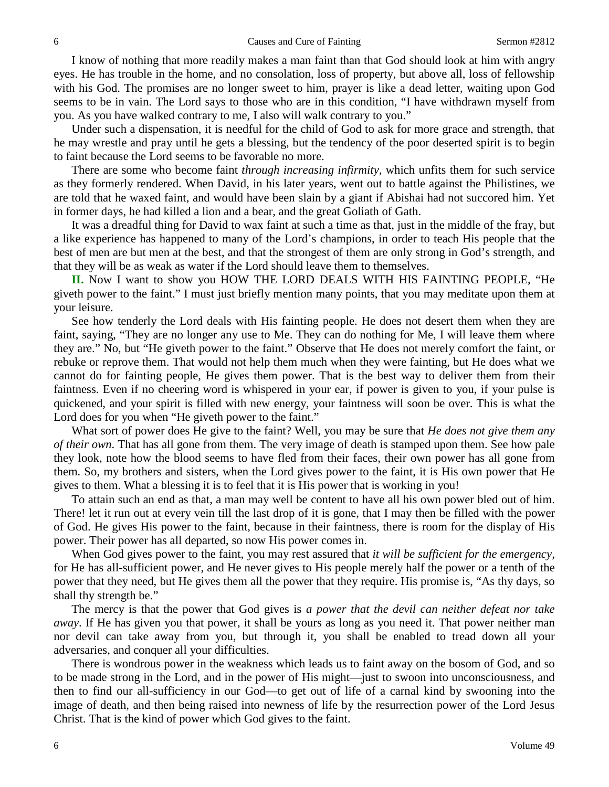I know of nothing that more readily makes a man faint than that God should look at him with angry eyes. He has trouble in the home, and no consolation, loss of property, but above all, loss of fellowship with his God. The promises are no longer sweet to him, prayer is like a dead letter, waiting upon God seems to be in vain. The Lord says to those who are in this condition, "I have withdrawn myself from you. As you have walked contrary to me, I also will walk contrary to you."

Under such a dispensation, it is needful for the child of God to ask for more grace and strength, that he may wrestle and pray until he gets a blessing, but the tendency of the poor deserted spirit is to begin to faint because the Lord seems to be favorable no more.

There are some who become faint *through increasing infirmity,* which unfits them for such service as they formerly rendered. When David, in his later years, went out to battle against the Philistines, we are told that he waxed faint, and would have been slain by a giant if Abishai had not succored him. Yet in former days, he had killed a lion and a bear, and the great Goliath of Gath.

It was a dreadful thing for David to wax faint at such a time as that, just in the middle of the fray, but a like experience has happened to many of the Lord's champions, in order to teach His people that the best of men are but men at the best, and that the strongest of them are only strong in God's strength, and that they will be as weak as water if the Lord should leave them to themselves.

**II.** Now I want to show you HOW THE LORD DEALS WITH HIS FAINTING PEOPLE, "He giveth power to the faint." I must just briefly mention many points, that you may meditate upon them at your leisure.

See how tenderly the Lord deals with His fainting people. He does not desert them when they are faint, saying, "They are no longer any use to Me. They can do nothing for Me, I will leave them where they are." No, but "He giveth power to the faint." Observe that He does not merely comfort the faint, or rebuke or reprove them. That would not help them much when they were fainting, but He does what we cannot do for fainting people, He gives them power. That is the best way to deliver them from their faintness. Even if no cheering word is whispered in your ear, if power is given to you, if your pulse is quickened, and your spirit is filled with new energy, your faintness will soon be over. This is what the Lord does for you when "He giveth power to the faint."

What sort of power does He give to the faint? Well, you may be sure that *He does not give them any of their own*. That has all gone from them. The very image of death is stamped upon them. See how pale they look, note how the blood seems to have fled from their faces, their own power has all gone from them. So, my brothers and sisters, when the Lord gives power to the faint, it is His own power that He gives to them. What a blessing it is to feel that it is His power that is working in you!

To attain such an end as that, a man may well be content to have all his own power bled out of him. There! let it run out at every vein till the last drop of it is gone, that I may then be filled with the power of God. He gives His power to the faint, because in their faintness, there is room for the display of His power. Their power has all departed, so now His power comes in.

When God gives power to the faint, you may rest assured that *it will be sufficient for the emergency,* for He has all-sufficient power, and He never gives to His people merely half the power or a tenth of the power that they need, but He gives them all the power that they require. His promise is, "As thy days, so shall thy strength be."

The mercy is that the power that God gives is *a power that the devil can neither defeat nor take away*. If He has given you that power, it shall be yours as long as you need it. That power neither man nor devil can take away from you, but through it, you shall be enabled to tread down all your adversaries, and conquer all your difficulties.

There is wondrous power in the weakness which leads us to faint away on the bosom of God, and so to be made strong in the Lord, and in the power of His might—just to swoon into unconsciousness, and then to find our all-sufficiency in our God—to get out of life of a carnal kind by swooning into the image of death, and then being raised into newness of life by the resurrection power of the Lord Jesus Christ. That is the kind of power which God gives to the faint.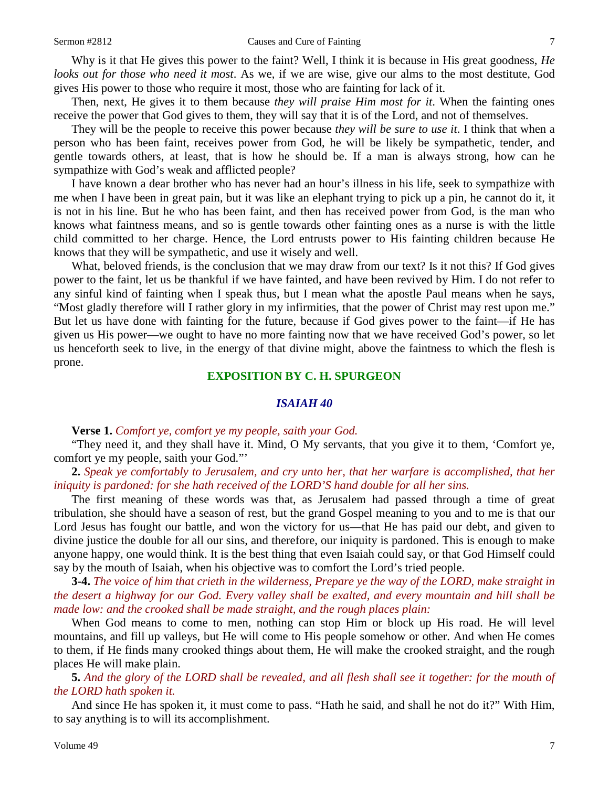Why is it that He gives this power to the faint? Well, I think it is because in His great goodness, *He looks out for those who need it most*. As we, if we are wise, give our alms to the most destitute, God gives His power to those who require it most, those who are fainting for lack of it.

Then, next, He gives it to them because *they will praise Him most for it*. When the fainting ones receive the power that God gives to them, they will say that it is of the Lord, and not of themselves.

They will be the people to receive this power because *they will be sure to use it*. I think that when a person who has been faint, receives power from God, he will be likely be sympathetic, tender, and gentle towards others, at least, that is how he should be. If a man is always strong, how can he sympathize with God's weak and afflicted people?

I have known a dear brother who has never had an hour's illness in his life, seek to sympathize with me when I have been in great pain, but it was like an elephant trying to pick up a pin, he cannot do it, it is not in his line. But he who has been faint, and then has received power from God, is the man who knows what faintness means, and so is gentle towards other fainting ones as a nurse is with the little child committed to her charge. Hence, the Lord entrusts power to His fainting children because He knows that they will be sympathetic, and use it wisely and well.

What, beloved friends, is the conclusion that we may draw from our text? Is it not this? If God gives power to the faint, let us be thankful if we have fainted, and have been revived by Him. I do not refer to any sinful kind of fainting when I speak thus, but I mean what the apostle Paul means when he says, "Most gladly therefore will I rather glory in my infirmities, that the power of Christ may rest upon me." But let us have done with fainting for the future, because if God gives power to the faint—if He has given us His power—we ought to have no more fainting now that we have received God's power, so let us henceforth seek to live, in the energy of that divine might, above the faintness to which the flesh is prone.

#### **EXPOSITION BY C. H. SPURGEON**

#### *ISAIAH 40*

#### **Verse 1.** *Comfort ye, comfort ye my people, saith your God.*

"They need it, and they shall have it. Mind, O My servants, that you give it to them, 'Comfort ye, comfort ye my people, saith your God."'

**2.** *Speak ye comfortably to Jerusalem, and cry unto her, that her warfare is accomplished, that her iniquity is pardoned: for she hath received of the LORD'S hand double for all her sins.* 

The first meaning of these words was that, as Jerusalem had passed through a time of great tribulation, she should have a season of rest, but the grand Gospel meaning to you and to me is that our Lord Jesus has fought our battle, and won the victory for us—that He has paid our debt, and given to divine justice the double for all our sins, and therefore, our iniquity is pardoned. This is enough to make anyone happy, one would think. It is the best thing that even Isaiah could say, or that God Himself could say by the mouth of Isaiah, when his objective was to comfort the Lord's tried people.

**3-4.** *The voice of him that crieth in the wilderness, Prepare ye the way of the LORD, make straight in the desert a highway for our God. Every valley shall be exalted, and every mountain and hill shall be made low: and the crooked shall be made straight, and the rough places plain:*

When God means to come to men, nothing can stop Him or block up His road. He will level mountains, and fill up valleys, but He will come to His people somehow or other. And when He comes to them, if He finds many crooked things about them, He will make the crooked straight, and the rough places He will make plain.

**5.** *And the glory of the LORD shall be revealed, and all flesh shall see it together: for the mouth of the LORD hath spoken it.*

And since He has spoken it, it must come to pass. "Hath he said, and shall he not do it?" With Him, to say anything is to will its accomplishment.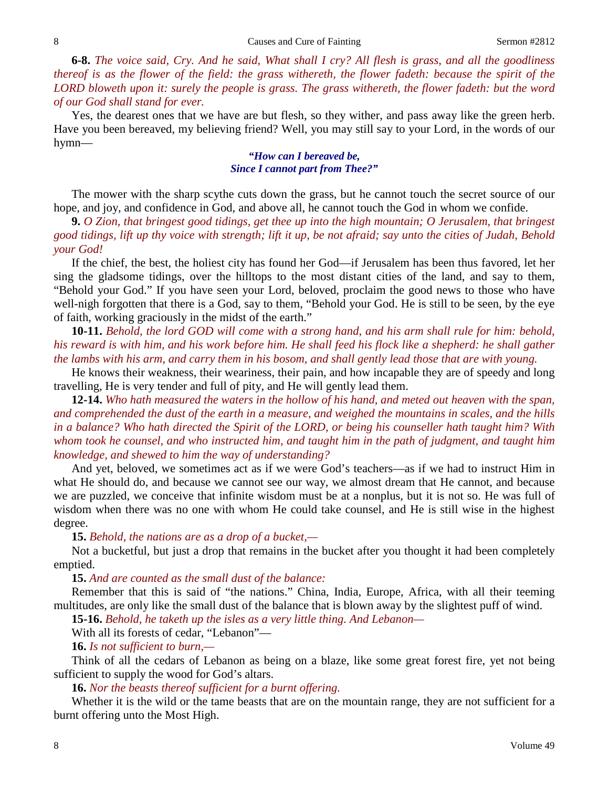**6-8.** *The voice said, Cry. And he said, What shall I cry? All flesh is grass, and all the goodliness thereof is as the flower of the field: the grass withereth, the flower fadeth: because the spirit of the LORD bloweth upon it: surely the people is grass. The grass withereth, the flower fadeth: but the word of our God shall stand for ever.*

Yes, the dearest ones that we have are but flesh, so they wither, and pass away like the green herb. Have you been bereaved, my believing friend? Well, you may still say to your Lord, in the words of our hymn—

### *"How can I bereaved be, Since I cannot part from Thee?"*

The mower with the sharp scythe cuts down the grass, but he cannot touch the secret source of our hope, and joy, and confidence in God, and above all, he cannot touch the God in whom we confide.

**9.** *O Zion, that bringest good tidings, get thee up into the high mountain; O Jerusalem, that bringest good tidings, lift up thy voice with strength; lift it up, be not afraid; say unto the cities of Judah, Behold your God!*

If the chief, the best, the holiest city has found her God—if Jerusalem has been thus favored, let her sing the gladsome tidings, over the hilltops to the most distant cities of the land, and say to them, "Behold your God." If you have seen your Lord, beloved, proclaim the good news to those who have well-nigh forgotten that there is a God, say to them, "Behold your God. He is still to be seen, by the eye of faith, working graciously in the midst of the earth."

**10-11.** *Behold, the lord GOD will come with a strong hand, and his arm shall rule for him: behold, his reward is with him, and his work before him. He shall feed his flock like a shepherd: he shall gather the lambs with his arm, and carry them in his bosom, and shall gently lead those that are with young.*

He knows their weakness, their weariness, their pain, and how incapable they are of speedy and long travelling, He is very tender and full of pity, and He will gently lead them.

**12-14.** *Who hath measured the waters in the hollow of his hand, and meted out heaven with the span, and comprehended the dust of the earth in a measure, and weighed the mountains in scales, and the hills in a balance? Who hath directed the Spirit of the LORD, or being his counseller hath taught him? With whom took he counsel, and who instructed him, and taught him in the path of judgment, and taught him knowledge, and shewed to him the way of understanding?*

And yet, beloved, we sometimes act as if we were God's teachers—as if we had to instruct Him in what He should do, and because we cannot see our way, we almost dream that He cannot, and because we are puzzled, we conceive that infinite wisdom must be at a nonplus, but it is not so. He was full of wisdom when there was no one with whom He could take counsel, and He is still wise in the highest degree.

#### **15.** *Behold, the nations are as a drop of a bucket,—*

Not a bucketful, but just a drop that remains in the bucket after you thought it had been completely emptied.

#### **15.** *And are counted as the small dust of the balance:*

Remember that this is said of "the nations." China, India, Europe, Africa, with all their teeming multitudes, are only like the small dust of the balance that is blown away by the slightest puff of wind.

**15-16.** *Behold, he taketh up the isles as a very little thing. And Lebanon—*

With all its forests of cedar, "Lebanon"—

**16.** *Is not sufficient to burn,—*

Think of all the cedars of Lebanon as being on a blaze, like some great forest fire, yet not being sufficient to supply the wood for God's altars.

**16.** *Nor the beasts thereof sufficient for a burnt offering.*

Whether it is the wild or the tame beasts that are on the mountain range, they are not sufficient for a burnt offering unto the Most High.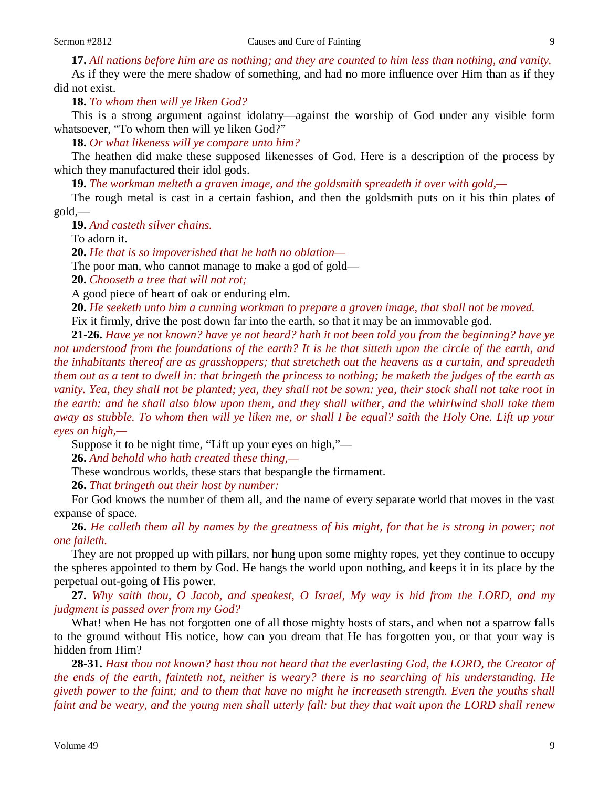**17.** *All nations before him are as nothing; and they are counted to him less than nothing, and vanity.*

As if they were the mere shadow of something, and had no more influence over Him than as if they did not exist.

**18.** *To whom then will ye liken God?*

This is a strong argument against idolatry—against the worship of God under any visible form whatsoever, "To whom then will ye liken God?"

**18.** *Or what likeness will ye compare unto him?*

The heathen did make these supposed likenesses of God. Here is a description of the process by which they manufactured their idol gods.

**19.** *The workman melteth a graven image, and the goldsmith spreadeth it over with gold,—*

The rough metal is cast in a certain fashion, and then the goldsmith puts on it his thin plates of gold,—

**19.** *And casteth silver chains.*

To adorn it.

**20.** *He that is so impoverished that he hath no oblation—*

The poor man, who cannot manage to make a god of gold—

**20.** *Chooseth a tree that will not rot;*

A good piece of heart of oak or enduring elm.

**20.** *He seeketh unto him a cunning workman to prepare a graven image, that shall not be moved.*  Fix it firmly, drive the post down far into the earth, so that it may be an immovable god.

**21-26.** *Have ye not known? have ye not heard? hath it not been told you from the beginning? have ye not understood from the foundations of the earth? It is he that sitteth upon the circle of the earth, and the inhabitants thereof are as grasshoppers; that stretcheth out the heavens as a curtain, and spreadeth them out as a tent to dwell in: that bringeth the princess to nothing; he maketh the judges of the earth as vanity. Yea, they shall not be planted; yea, they shall not be sown: yea, their stock shall not take root in the earth: and he shall also blow upon them, and they shall wither, and the whirlwind shall take them away as stubble. To whom then will ye liken me, or shall I be equal? saith the Holy One. Lift up your eyes on high,—*

Suppose it to be night time, "Lift up your eyes on high,"—

**26.** *And behold who hath created these thing,—*

These wondrous worlds, these stars that bespangle the firmament.

**26.** *That bringeth out their host by number:*

For God knows the number of them all, and the name of every separate world that moves in the vast expanse of space.

**26.** *He calleth them all by names by the greatness of his might, for that he is strong in power; not one faileth.*

They are not propped up with pillars, nor hung upon some mighty ropes, yet they continue to occupy the spheres appointed to them by God. He hangs the world upon nothing, and keeps it in its place by the perpetual out-going of His power.

**27.** *Why saith thou, O Jacob, and speakest, O Israel, My way is hid from the LORD, and my judgment is passed over from my God?*

What! when He has not forgotten one of all those mighty hosts of stars, and when not a sparrow falls to the ground without His notice, how can you dream that He has forgotten you, or that your way is hidden from Him?

**28-31.** *Hast thou not known? hast thou not heard that the everlasting God, the LORD, the Creator of the ends of the earth, fainteth not, neither is weary? there is no searching of his understanding. He giveth power to the faint; and to them that have no might he increaseth strength. Even the youths shall faint and be weary, and the young men shall utterly fall: but they that wait upon the LORD shall renew*